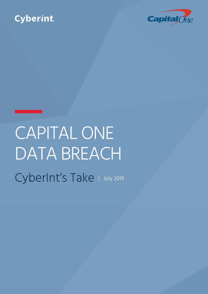# Cyberint



# **CAPITAL ONE** DATA BREACH CyberInt's Take | July 2019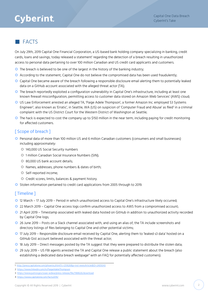## Cyberint

### **T**FACTS

On July 29th, 2019 Capital One Financial Corporation, a US-based bank holding company specializing in banking, credit cards, loans and savings, today released a statement<sup>1</sup> regarding the detection of a breach resulting in unauthorized access to personal data pertaining to over 100 million Canadian and US credit card applicants and customers.

- O The breach is believed to be one of the largest in the history of the banking industry;
- O According to the statement, Capital One do not believe the compromised data has been used fraudulently;
- | Capital One became aware of the breach following a responsible disclosure email alerting them to potentially leaked data on a GitHub account associated with the alleged threat actor (TA);
- **O** The breach reportedly exploited a configuration vulnerability in Capital One's infrastructure, including at least one known firewall misconfiguration, permitting access to customer data stored on Amazon Web Services' (AWS) cloud;
- | US Law Enforcement arrested an alleged TA, 'Paige Adele Thompson', a former Amazon Inc. employed S3 Systems Engineer?, also known as 'Erratic', in Seattle, WA (US) on suspicion of 'Computer Fraud and Abuse' as filed<sup>3</sup> in a criminal complaint with the US District Court for the Western District of Washington at Seattle;
- **O** The hack is expected to cost the company up to \$150 million in the near term, including paying for credit monitoring for affected customers.

#### [ Scope of breach ]

- | Personal data of more than 100 million US and 6 million Canadian customers (consumers and small businesses) including approximately:
	- O 140,000 US Social Security numbers
	- O 1 million Canadian Social Insurance Numbers (SIN);
	- O 80,000 US bank account details;
	- | Names, addresses, phone numbers & dates of birth;
	- O Self-reported income;
	- | Credit scores, limits, balances & payment history.
- | Stolen information pertained to credit card applications from 2005 through to 2019.

#### [ Timeline ]

- | 12 March 17 July 2019 Period in which unauthorized access to Capital One's infrastructure likely occurred;
- | 22 March 2019 Capital One access logs confirm unauthorized access to AWS from a compromised account;
- | 21 April 2019 Timestamp associated with leaked data hosted on GitHub in addition to unauthorized activity recorded by Capital One logs;
- | 26 June 2019 Posts on a Slack channel associated with, and using an alias of, the TA include screenshots and directory listings of files belonging to Capital One and other potential victims;
- | 17 July 2019 Responsible disclosure email received by Capital One, alerting them to 'leaked s3 data' hosted on a GitHub Gist account believed associated with the threat actor;
- O 18 July 2019 Direct messages posted by the TA suggest that they were prepared to distribute the stolen data;
- | 29 July 2019 US FBI agents arrested the TA and Capital One release a public statement about the breach (also establishing a dedicated data breach webpage<sup>4</sup> with an FAQ for potentially affected customers).

<sup>1</sup> [http://press.capitalone.com/phoenix.zhtml?c=251626&p=irol-newsArticle&ID=2405043](http://press.capitalone.com/phoenix.zhtml%3Fc%3D251626%26p%3Dirol-newsArticle%26ID%3D2405043)

<sup>2</sup> <https://www.linkedin.com/in/PaigeAdeleThompson>

<sup>3</sup> <https://www.justice.gov/usao-wdwa/press-release/file/1188626/download>

<sup>4</sup> <https://www.capitalone.com/facts2019/>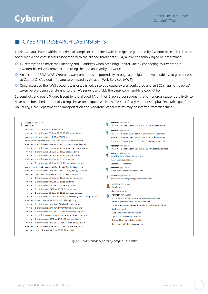# Cyberint

### CyberInt Research Lab Insights

Technical data shared within the criminal complaint, combined with intelligence gathered by CyberInt Research Lab from social media and chat servers associated with the alleged threat actor (TA) allows the following to be determined:

- | TA attempted to mask their identity and IP address when accessing Capital One by connecting to 'IPredator', a Sweden-based VPN provider, and using the 'Tor' anonymity network;
- <sup>O</sup> An account, 'ISRM-WAF-Webrole', was compromised, potentially through a configuration vulnerability, to gain access to Capital One's cloud infrastructure hosted by Amazon Web Services (AWS);
- O Once access to the AWS account was established, a storage gateway was configured and an EC2 snapshot (backup) taken before being transferring to the TA's server using 'dd', the Linux command-line copy utility;

Screenshots and posts (Figure 1) sent by the alleged TA on their Slack server suggest that other organizations are likely to have been breached, potentially using similar techniques. Whilst the TA specifically mentions Capital One, Michigan State University, Ohio Department of Transportation and Vodafone, other victims may be inferred from filenames.

| <erratic> APP 4:55 PM</erratic>                                                                                                                                                                                                                                                                                                                                                                                                                                                                                                                                                                                                                                                                                                                                                                                                                                                                                                                                                                                                                                                                                                                                                                                              | <erratic> APP 4:56 PM</erratic>                                                                                                                                                                                                                                                                                                                                                                                                                                                                                                                                                            |
|------------------------------------------------------------------------------------------------------------------------------------------------------------------------------------------------------------------------------------------------------------------------------------------------------------------------------------------------------------------------------------------------------------------------------------------------------------------------------------------------------------------------------------------------------------------------------------------------------------------------------------------------------------------------------------------------------------------------------------------------------------------------------------------------------------------------------------------------------------------------------------------------------------------------------------------------------------------------------------------------------------------------------------------------------------------------------------------------------------------------------------------------------------------------------------------------------------------------------|--------------------------------------------------------------------------------------------------------------------------------------------------------------------------------------------------------------------------------------------------------------------------------------------------------------------------------------------------------------------------------------------------------------------------------------------------------------------------------------------------------------------------------------------------------------------------------------------|
| total 485G                                                                                                                                                                                                                                                                                                                                                                                                                                                                                                                                                                                                                                                                                                                                                                                                                                                                                                                                                                                                                                                                                                                                                                                                                   | -rw-r--r-- 1 erratic users 63G Jun 27 18:55 unicredit.tar.xz                                                                                                                                                                                                                                                                                                                                                                                                                                                                                                                               |
| drwxr-xr-x 7 erratic root 4.0K Jun 27 15:31.                                                                                                                                                                                                                                                                                                                                                                                                                                                                                                                                                                                                                                                                                                                                                                                                                                                                                                                                                                                                                                                                                                                                                                                 | <erratic> APP 4:56 PM</erratic>                                                                                                                                                                                                                                                                                                                                                                                                                                                                                                                                                            |
| -rw-r--r-- 1 erratic users 55K Jun 27 00:00 42lines.net.tar.xz                                                                                                                                                                                                                                                                                                                                                                                                                                                                                                                                                                                                                                                                                                                                                                                                                                                                                                                                                                                                                                                                                                                                                               | -rw-r--r-- 1 erratic users 21K Jun 27 00:00 user-data far xz                                                                                                                                                                                                                                                                                                                                                                                                                                                                                                                               |
| drwxr-xr-x 12 root root 4.0K May 29 09:26                                                                                                                                                                                                                                                                                                                                                                                                                                                                                                                                                                                                                                                                                                                                                                                                                                                                                                                                                                                                                                                                                                                                                                                    | -rw-r--r-- 1 erratic users 27G Jun 27 14:04 wakoopa.tar.xz                                                                                                                                                                                                                                                                                                                                                                                                                                                                                                                                 |
| drwxr-xr-x 669 erratic users 36K Jun 27 18:23 ISRM-WAF-Role                                                                                                                                                                                                                                                                                                                                                                                                                                                                                                                                                                                                                                                                                                                                                                                                                                                                                                                                                                                                                                                                                                                                                                  | drwxr-xr-x 99 erratic users 12K Jun 27 18:30 webrole2_s3                                                                                                                                                                                                                                                                                                                                                                                                                                                                                                                                   |
| -rw-r--r-- 1 erratic users 28G Jun 27 18:55 ISRM-WAF-Role.tar.xz                                                                                                                                                                                                                                                                                                                                                                                                                                                                                                                                                                                                                                                                                                                                                                                                                                                                                                                                                                                                                                                                                                                                                             | <erratic> APP 4:56 PM</erratic>                                                                                                                                                                                                                                                                                                                                                                                                                                                                                                                                                            |
| -rw-r--r-- 1 erratic users 35G Jun 27 15:31 Rotate_Access_key.tar.xz                                                                                                                                                                                                                                                                                                                                                                                                                                                                                                                                                                                                                                                                                                                                                                                                                                                                                                                                                                                                                                                                                                                                                         | -rw-r--r-- 1 erratic users 61G Jun 27 18:55 webrole2_s3.tar.xz                                                                                                                                                                                                                                                                                                                                                                                                                                                                                                                             |
| -rw-r--r-- 1 erratic users 25G Jun 27 10:08 apperian.tar.xz                                                                                                                                                                                                                                                                                                                                                                                                                                                                                                                                                                                                                                                                                                                                                                                                                                                                                                                                                                                                                                                                                                                                                                  | <erratic> APP 5:00 PM</erratic>                                                                                                                                                                                                                                                                                                                                                                                                                                                                                                                                                            |
| -rw-r--r-- 1 erratic users 264 Jun 27 00:00 apperian2.tar.xz                                                                                                                                                                                                                                                                                                                                                                                                                                                                                                                                                                                                                                                                                                                                                                                                                                                                                                                                                                                                                                                                                                                                                                 | @neoice: https://termbin.com/6v7c                                                                                                                                                                                                                                                                                                                                                                                                                                                                                                                                                          |
| -rw-r--r-- 1 erratic users 12K Jun 27 00:00 astem.tar.xz                                                                                                                                                                                                                                                                                                                                                                                                                                                                                                                                                                                                                                                                                                                                                                                                                                                                                                                                                                                                                                                                                                                                                                     | msu = michigan state uni                                                                                                                                                                                                                                                                                                                                                                                                                                                                                                                                                                   |
| -rw-r--r-- 1 erratic users 28G Jun 27 09:46 cicd-instance.tar.xz                                                                                                                                                                                                                                                                                                                                                                                                                                                                                                                                                                                                                                                                                                                                                                                                                                                                                                                                                                                                                                                                                                                                                             | $vodafone == vodafone$                                                                                                                                                                                                                                                                                                                                                                                                                                                                                                                                                                     |
| drwxr-xr-x 67 erratic users 4.0K Jun 27 18:50 code deploy role<br>-rw-r--r-- 1 erratic users 59G Jun 27 18:55 code_deploy_role.tar.xz<br>drwxr-xr-x 39 erratic users 12K Jun 27 15:24 ec2 s3 role<br>-rw-r--r-- 1 erratic users 76G Jun 27 18:55 ec2_s3_role.tar.xz<br>-rw-r--r-- 1 erratic users 9.8G Jun 27 13:16 ecs.tar.xz<br>-rw-r--r-- 1 erratic users 2.3G Jun 27 03:26 ford tar.xz<br>-rw-r--r-- 1 erratic users 224M Jun 27 00:06 fuckup.tar.xz<br>-rw-r--r-- 1 erratic users 38G Jun 27 15:28 globalgarner.tar.xz<br>-rw-r--r-- 1 erratic users 408 Jun 27 00:00 hslonboarding-prod-backup1.tar.xz<br>-rw-r--r-- 1 root root 8.0G Jun 3 23:11 identiphy.img<br>-rw-r--r-- 1 erratic users 1.4M Jun 27 00:00 identiphy.tar.xz<br>-rw-r--r-- 1 erratic users 204K Jun 27 00:00 infobloxcto.tar.xz<br>-rw-r--r-- 1 erratic users 13G Jun 27 03:15 iwcodeacademy.tar.xz<br>-rw-r--r-- 1 erratic users 408M Jun 27 00:54 s3 logrotate role.tar.xz<br>-rw-r--r-- 1 erratic users 356M Jun 27 04:45 safesocial.tar.xz<br>-rw-r--r-- 1 erratic users 4.5G Jun 27 04:10 service_devops.tar.xz<br>-rw-r--r-- 1 erratic users 11G Jun 27 07:29 starofservice tar.xz<br>drwxr-xr-x 9 erratic users 4.0K Jun 27 17:57 unicredit | <erratic> APP 5:00 PM<br/>ISRM-WAF-Webrole == capitol one<br/><erratic> APP 5:00 PM<br/>ohio crash == ohio.gov dept of transportation<br/>&gt; APP 5:01 PM<br/>≺<br/>sketchy shit<br/>don't go to jail plz<br/><erratic> APP 5:01 PM<br/>Im like &gt; ipredator &gt; tor &gt; s3 on all this shit <br/>I wanna get it off my server thats why Im archiving all of it lol<br/>its all encrypted<br/>I just dont want it around though<br/>I gotta find somewhere to store it<br/>that infobloxcto one is interesting<br/>they have &gt; 500 docker containers</erratic></erratic></erratic> |

Figure 1 - Slack channel posts by alleged TA 'erratic'